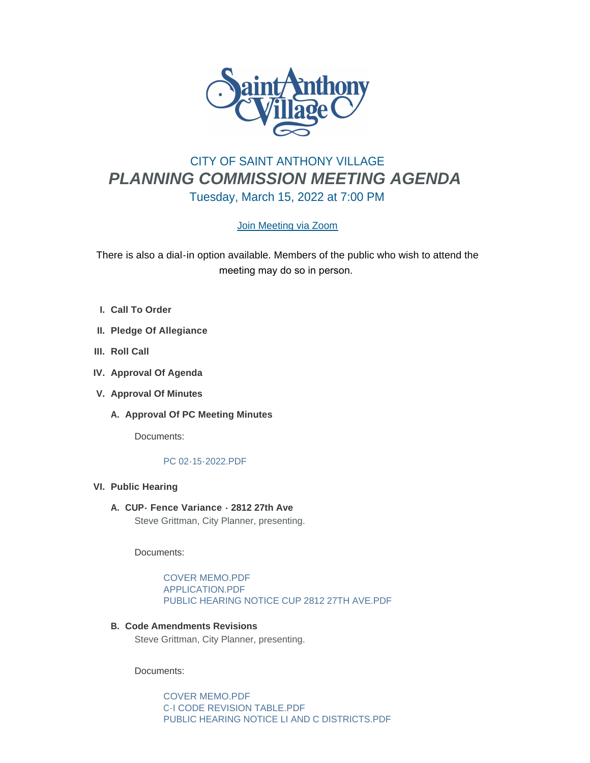

# CITY OF SAINT ANTHONY VILLAGE *PLANNING COMMISSION MEETING AGENDA* Tuesday, March 15, 2022 at 7:00 PM

## [Join Meeting via Zoom](https://www.savmn.com/Calendar.aspx?EID=1602)

There is also a dial-in option available. Members of the public who wish to attend the meeting may do so in person.

- **Call To Order I.**
- **Pledge Of Allegiance II.**
- **III.** Roll Call
- **IV.** Approval Of Agenda
- **Approval Of Minutes V.**
	- A. Approval Of PC Meeting Minutes

Documents:

## [PC 02-15-2022.PDF](http://www.savmn.com/AgendaCenter/ViewFile/Item/737?fileID=6711)

- **Public Hearing VI.**
	- **CUP- Fence Variance 2812 27th Ave A.** Steve Grittman, City Planner, presenting.

Documents:

[COVER MEMO.PDF](http://www.savmn.com/AgendaCenter/ViewFile/Item/738?fileID=6761) [APPLICATION.PDF](http://www.savmn.com/AgendaCenter/ViewFile/Item/738?fileID=6712) [PUBLIC HEARING NOTICE CUP 2812 27TH AVE.PDF](http://www.savmn.com/AgendaCenter/ViewFile/Item/738?fileID=6762)

**Code Amendments Revisions B.** Steve Grittman, City Planner, presenting.

Documents:

[COVER MEMO.PDF](http://www.savmn.com/AgendaCenter/ViewFile/Item/815?fileID=6758) [C-I CODE REVISION TABLE.PDF](http://www.savmn.com/AgendaCenter/ViewFile/Item/815?fileID=6759) [PUBLIC HEARING NOTICE LI AND C DISTRICTS.PDF](http://www.savmn.com/AgendaCenter/ViewFile/Item/815?fileID=6760)